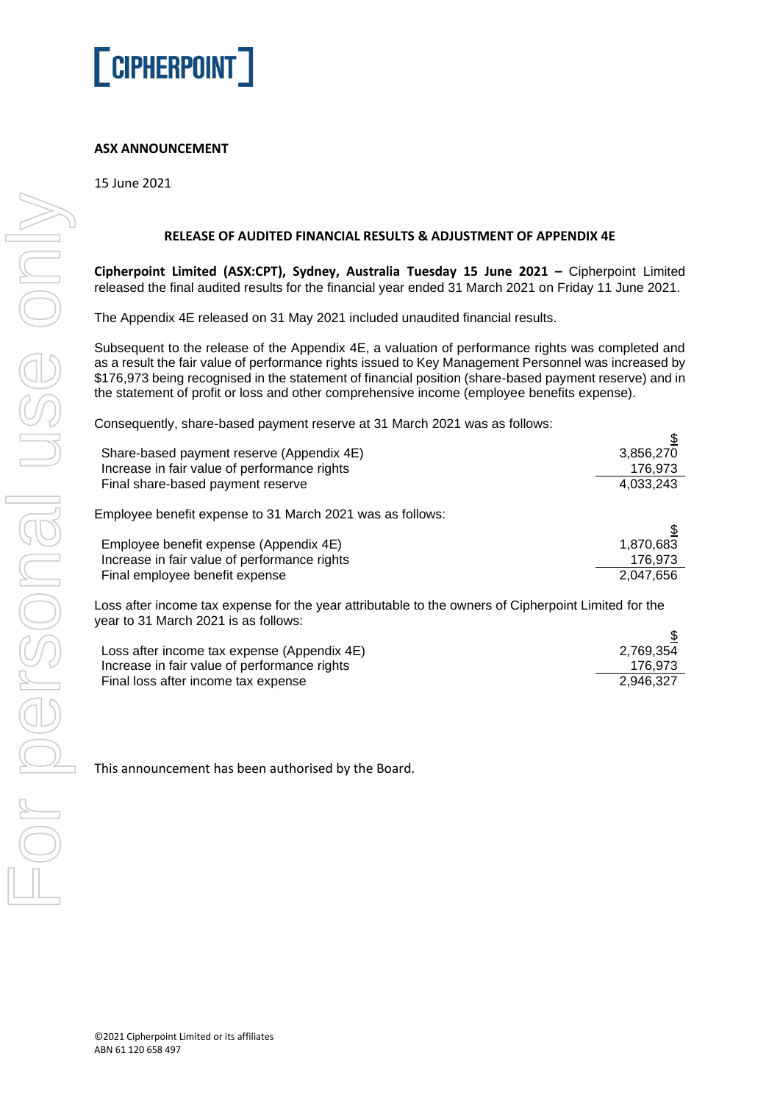

## **ASX ANNOUNCEMENT**

15 June 2021

## **RELEASE OF AUDITED FINANCIAL RESULTS & ADJUSTMENT OF APPENDIX 4E**

**Cipherpoint Limited (ASX:CPT), Sydney, Australia Tuesday 15 June 2021 –** Cipherpoint Limited released the final audited results for the financial year ended 31 March 2021 on Friday 11 June 2021.

The Appendix 4E released on 31 May 2021 included unaudited financial results.

Subsequent to the release of the Appendix 4E, a valuation of performance rights was completed and as a result the fair value of performance rights issued to Key Management Personnel was increased by \$176,973 being recognised in the statement of financial position (share-based payment reserve) and in the statement of profit or loss and other comprehensive income (employee benefits expense).

Consequently, share-based payment reserve at 31 March 2021 was as follows:

| Share-based payment reserve (Appendix 4E)<br>Increase in fair value of performance rights | 3,856,270<br>176,973 |
|-------------------------------------------------------------------------------------------|----------------------|
| Final share-based payment reserve                                                         | 4,033,243            |
| Employee benefit expense to 31 March 2021 was as follows:                                 |                      |
| Employee benefit expense (Appendix 4E)                                                    | 1,870,683            |
| Increase in fair value of performance rights                                              | 176,973              |
| Final employee benefit expense                                                            | 2,047,656            |
|                                                                                           |                      |

Loss after income tax expense for the year attributable to the owners of Cipherpoint Limited for the year to 31 March 2021 is as follows:

| Loss after income tax expense (Appendix 4E)  | 2,769,354 |
|----------------------------------------------|-----------|
| Increase in fair value of performance rights | 176.973   |
| Final loss after income tax expense          | 2.946.327 |

This announcement has been authorised by the Board.